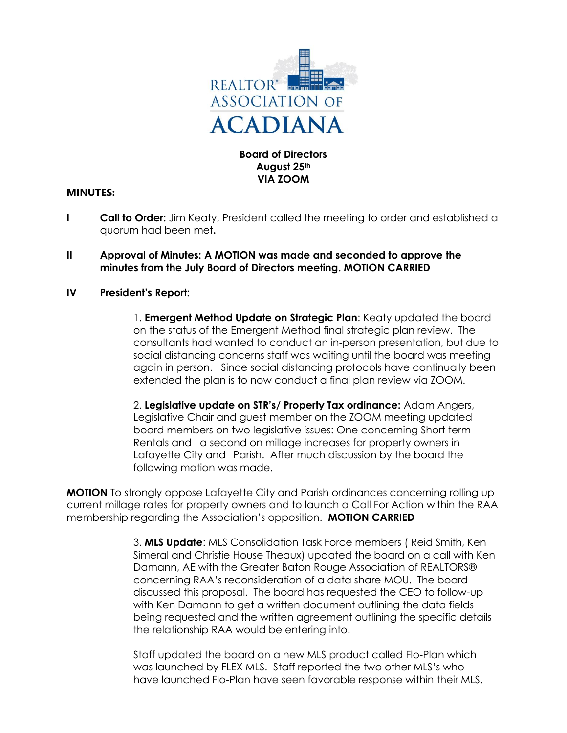

## **Board of Directors August 25th VIA ZOOM**

# **MINUTES:**

- **I Call to Order:** Jim Keaty, President called the meeting to order and established a quorum had been met**.**
- **II Approval of Minutes: A MOTION was made and seconded to approve the minutes from the July Board of Directors meeting. MOTION CARRIED**

### **IV President's Report:**

1. **Emergent Method Update on Strategic Plan**: Keaty updated the board on the status of the Emergent Method final strategic plan review. The consultants had wanted to conduct an in-person presentation, but due to social distancing concerns staff was waiting until the board was meeting again in person. Since social distancing protocols have continually been extended the plan is to now conduct a final plan review via ZOOM.

2. **Legislative update on STR's/ Property Tax ordinance:** Adam Angers, Legislative Chair and guest member on the ZOOM meeting updated board members on two legislative issues: One concerning Short term Rentals and a second on millage increases for property owners in Lafayette City and Parish. After much discussion by the board the following motion was made.

**MOTION** To strongly oppose Lafayette City and Parish ordinances concerning rolling up current millage rates for property owners and to launch a Call For Action within the RAA membership regarding the Association's opposition. **MOTION CARRIED**

> 3. **MLS Update**: MLS Consolidation Task Force members ( Reid Smith, Ken Simeral and Christie House Theaux) updated the board on a call with Ken Damann, AE with the Greater Baton Rouge Association of REALTORS® concerning RAA's reconsideration of a data share MOU. The board discussed this proposal. The board has requested the CEO to follow-up with Ken Damann to get a written document outlining the data fields being requested and the written agreement outlining the specific details the relationship RAA would be entering into.

Staff updated the board on a new MLS product called Flo-Plan which was launched by FLEX MLS. Staff reported the two other MLS's who have launched Flo-Plan have seen favorable response within their MLS.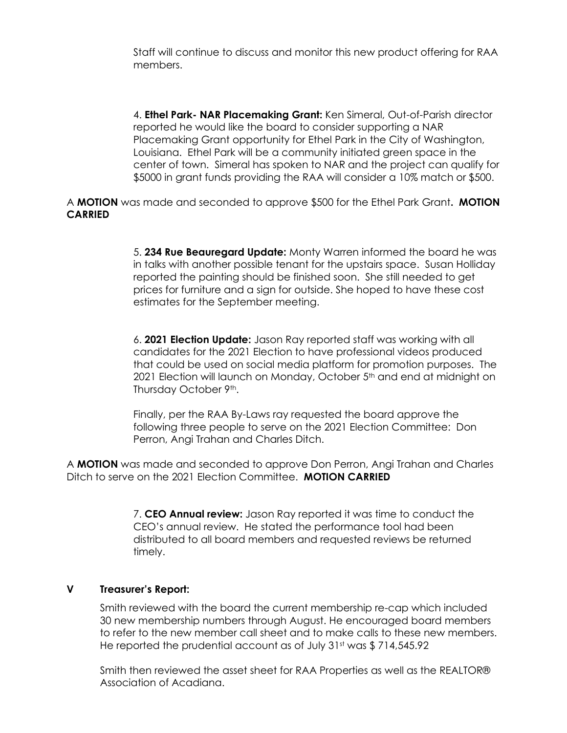Staff will continue to discuss and monitor this new product offering for RAA members.

4. **Ethel Park- NAR Placemaking Grant:** Ken Simeral, Out-of-Parish director reported he would like the board to consider supporting a NAR Placemaking Grant opportunity for Ethel Park in the City of Washington, Louisiana. Ethel Park will be a community initiated green space in the center of town. Simeral has spoken to NAR and the project can qualify for \$5000 in grant funds providing the RAA will consider a 10% match or \$500.

A **MOTION** was made and seconded to approve \$500 for the Ethel Park Grant**. MOTION CARRIED**

> 5. **234 Rue Beauregard Update:** Monty Warren informed the board he was in talks with another possible tenant for the upstairs space. Susan Holliday reported the painting should be finished soon. She still needed to get prices for furniture and a sign for outside. She hoped to have these cost estimates for the September meeting.

> 6. **2021 Election Update:** Jason Ray reported staff was working with all candidates for the 2021 Election to have professional videos produced that could be used on social media platform for promotion purposes. The 2021 Election will launch on Monday, October 5<sup>th</sup> and end at midnight on Thursday October 9th.

Finally, per the RAA By-Laws ray requested the board approve the following three people to serve on the 2021 Election Committee: Don Perron, Angi Trahan and Charles Ditch.

A **MOTION** was made and seconded to approve Don Perron, Angi Trahan and Charles Ditch to serve on the 2021 Election Committee. **MOTION CARRIED**

> 7. **CEO Annual review:** Jason Ray reported it was time to conduct the CEO's annual review. He stated the performance tool had been distributed to all board members and requested reviews be returned timely.

### **V Treasurer's Report:**

Smith reviewed with the board the current membership re-cap which included 30 new membership numbers through August. He encouraged board members to refer to the new member call sheet and to make calls to these new members. He reported the prudential account as of July 31st was \$714,545.92

Smith then reviewed the asset sheet for RAA Properties as well as the REALTOR® Association of Acadiana.